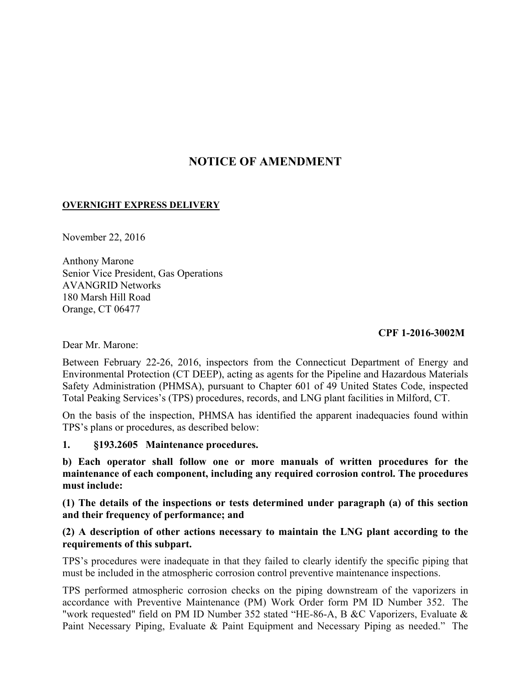# **NOTICE OF AMENDMENT**

#### **OVERNIGHT EXPRESS DELIVERY**

November 22, 2016

Anthony Marone Senior Vice President, Gas Operations AVANGRID Networks 180 Marsh Hill Road Orange, CT 06477

#### **CPF 1-2016-3002M**

Dear Mr. Marone:

Between February 22-26, 2016, inspectors from the Connecticut Department of Energy and Environmental Protection (CT DEEP), acting as agents for the Pipeline and Hazardous Materials Safety Administration (PHMSA), pursuant to Chapter 601 of 49 United States Code, inspected Total Peaking Services's (TPS) procedures, records, and LNG plant facilities in Milford, CT.

On the basis of the inspection, PHMSA has identified the apparent inadequacies found within TPS's plans or procedures, as described below:

#### **1. §193.2605 Maintenance procedures.**

**b) Each operator shall follow one or more manuals of written procedures for the maintenance of each component, including any required corrosion control. The procedures must include:** 

**(1) The details of the inspections or tests determined under paragraph (a) of this section and their frequency of performance; and** 

### **(2) A description of other actions necessary to maintain the LNG plant according to the requirements of this subpart.**

TPS's procedures were inadequate in that they failed to clearly identify the specific piping that must be included in the atmospheric corrosion control preventive maintenance inspections.

TPS performed atmospheric corrosion checks on the piping downstream of the vaporizers in accordance with Preventive Maintenance (PM) Work Order form PM ID Number 352. The "work requested" field on PM ID Number 352 stated "HE-86-A, B &C Vaporizers, Evaluate & Paint Necessary Piping, Evaluate & Paint Equipment and Necessary Piping as needed." The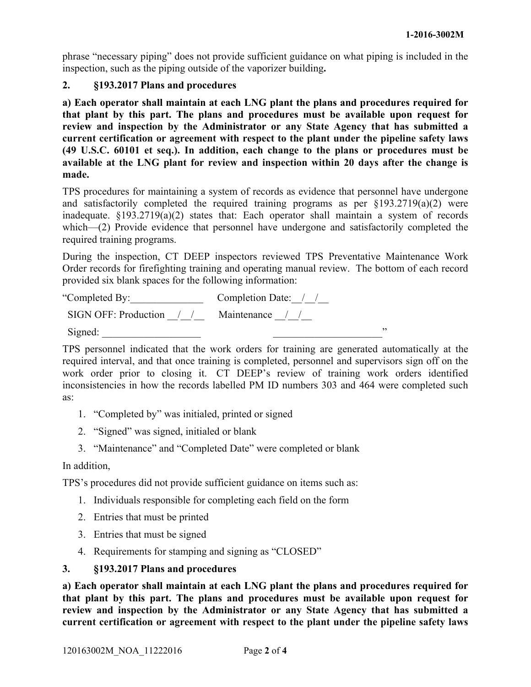phrase "necessary piping" does not provide sufficient guidance on what piping is included in the inspection, such as the piping outside of the vaporizer building**.** 

#### **2. §193.2017 Plans and procedures**

**a) Each operator shall maintain at each LNG plant the plans and procedures required for that plant by this part. The plans and procedures must be available upon request for review and inspection by the Administrator or any State Agency that has submitted a current certification or agreement with respect to the plant under the pipeline safety laws (49 U.S.C. 60101 et seq.). In addition, each change to the plans or procedures must be available at the LNG plant for review and inspection within 20 days after the change is made.** 

TPS procedures for maintaining a system of records as evidence that personnel have undergone and satisfactorily completed the required training programs as per  $\S$ 193.2719(a)(2) were inadequate. §193.2719(a)(2) states that: Each operator shall maintain a system of records which—(2) Provide evidence that personnel have undergone and satisfactorily completed the required training programs.

During the inspection, CT DEEP inspectors reviewed TPS Preventative Maintenance Work Order records for firefighting training and operating manual review. The bottom of each record provided six blank spaces for the following information:

| "Completed By:                           | Completion Date: / / |  |
|------------------------------------------|----------------------|--|
| SIGN OFF: Production / / Maintenance / / |                      |  |
| Signed:                                  |                      |  |

TPS personnel indicated that the work orders for training are generated automatically at the required interval, and that once training is completed, personnel and supervisors sign off on the work order prior to closing it. CT DEEP's review of training work orders identified inconsistencies in how the records labelled PM ID numbers 303 and 464 were completed such as:

- 1. "Completed by" was initialed, printed or signed
- 2. "Signed" was signed, initialed or blank
- 3. "Maintenance" and "Completed Date" were completed or blank

#### In addition,

TPS's procedures did not provide sufficient guidance on items such as:

- 1. Individuals responsible for completing each field on the form
- 2. Entries that must be printed
- 3. Entries that must be signed
- 4. Requirements for stamping and signing as "CLOSED"

#### **3. §193.2017 Plans and procedures**

**a) Each operator shall maintain at each LNG plant the plans and procedures required for that plant by this part. The plans and procedures must be available upon request for review and inspection by the Administrator or any State Agency that has submitted a current certification or agreement with respect to the plant under the pipeline safety laws**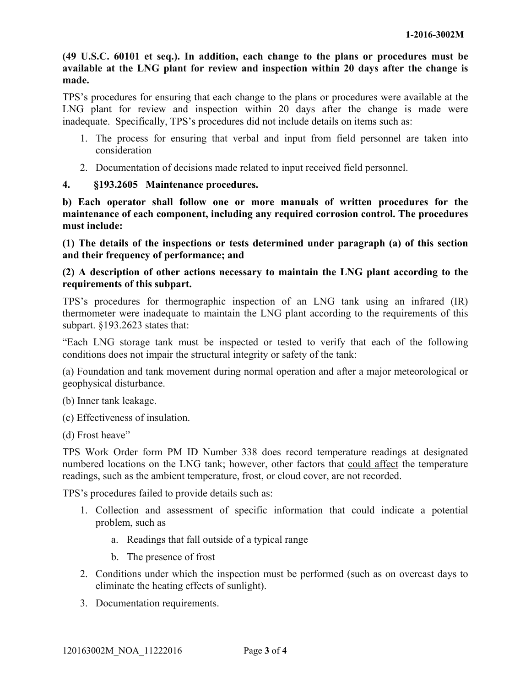**(49 U.S.C. 60101 et seq.). In addition, each change to the plans or procedures must be available at the LNG plant for review and inspection within 20 days after the change is made.** 

TPS's procedures for ensuring that each change to the plans or procedures were available at the LNG plant for review and inspection within 20 days after the change is made were inadequate. Specifically, TPS's procedures did not include details on items such as:

- 1. The process for ensuring that verbal and input from field personnel are taken into consideration
- 2. Documentation of decisions made related to input received field personnel.

# **4. §193.2605 Maintenance procedures.**

**b) Each operator shall follow one or more manuals of written procedures for the maintenance of each component, including any required corrosion control. The procedures must include:** 

**(1) The details of the inspections or tests determined under paragraph (a) of this section and their frequency of performance; and** 

## **(2) A description of other actions necessary to maintain the LNG plant according to the requirements of this subpart.**

TPS's procedures for thermographic inspection of an LNG tank using an infrared (IR) thermometer were inadequate to maintain the LNG plant according to the requirements of this subpart. §193.2623 states that:

"Each LNG storage tank must be inspected or tested to verify that each of the following conditions does not impair the structural integrity or safety of the tank:

(a) Foundation and tank movement during normal operation and after a major meteorological or geophysical disturbance.

(b) Inner tank leakage.

(c) Effectiveness of insulation.

(d) Frost heave"

TPS Work Order form PM ID Number 338 does record temperature readings at designated numbered locations on the LNG tank; however, other factors that could affect the temperature readings, such as the ambient temperature, frost, or cloud cover, are not recorded.

TPS's procedures failed to provide details such as:

- 1. Collection and assessment of specific information that could indicate a potential problem, such as
	- a. Readings that fall outside of a typical range
	- b. The presence of frost
- 2. Conditions under which the inspection must be performed (such as on overcast days to eliminate the heating effects of sunlight).
- 3. Documentation requirements.